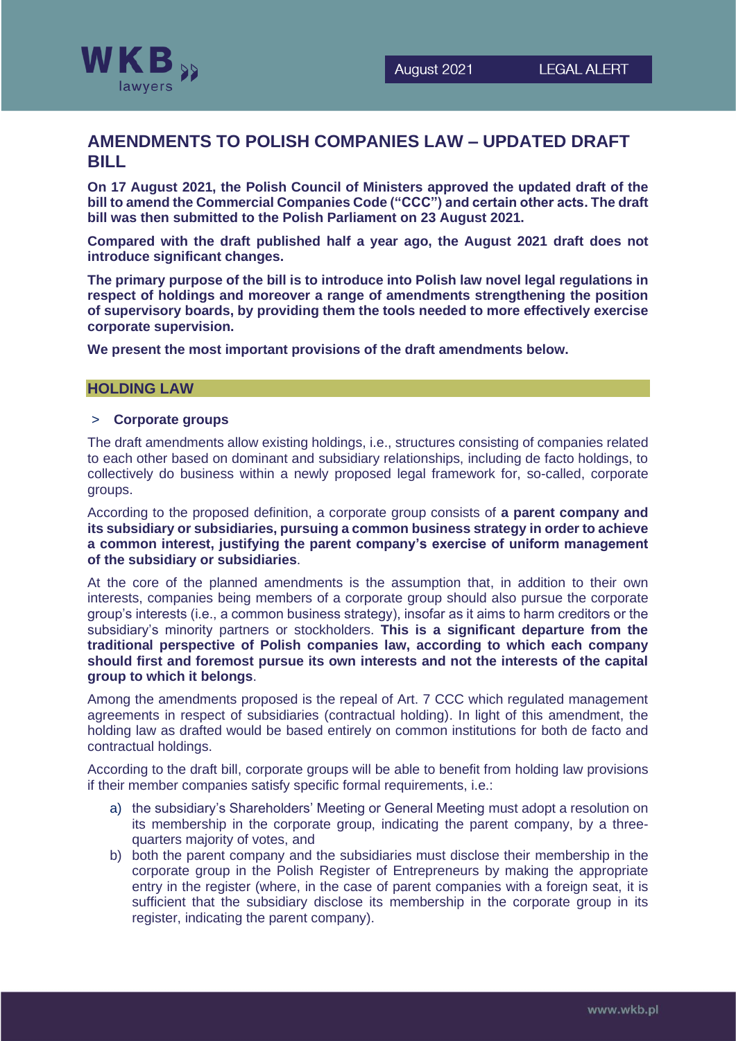

# **AMENDMENTS TO POLISH COMPANIES LAW – UPDATED DRAFT BILL**

**On 17 August 2021, the Polish Council of Ministers approved the updated draft of the bill to amend the Commercial Companies Code ("CCC") and certain other acts. The draft bill was then submitted to the Polish Parliament on 23 August 2021.**

**Compared with the draft published half a year ago, the August 2021 draft does not introduce significant changes.**

**The primary purpose of the bill is to introduce into Polish law novel legal regulations in respect of holdings and moreover a range of amendments strengthening the position of supervisory boards, by providing them the tools needed to more effectively exercise corporate supervision.**

**We present the most important provisions of the draft amendments below.**

## **HOLDING LAW**

### > **Corporate groups**

The draft amendments allow existing holdings, i.e., structures consisting of companies related to each other based on dominant and subsidiary relationships, including de facto holdings, to collectively do business within a newly proposed legal framework for, so-called, corporate groups.

According to the proposed definition, a corporate group consists of **a parent company and its subsidiary or subsidiaries, pursuing a common business strategy in order to achieve a common interest, justifying the parent company's exercise of uniform management of the subsidiary or subsidiaries**.

At the core of the planned amendments is the assumption that, in addition to their own interests, companies being members of a corporate group should also pursue the corporate group's interests (i.e., a common business strategy), insofar as it aims to harm creditors or the subsidiary's minority partners or stockholders. **This is a significant departure from the traditional perspective of Polish companies law, according to which each company should first and foremost pursue its own interests and not the interests of the capital group to which it belongs**.

Among the amendments proposed is the repeal of Art. 7 CCC which regulated management agreements in respect of subsidiaries (contractual holding). In light of this amendment, the holding law as drafted would be based entirely on common institutions for both de facto and contractual holdings.

According to the draft bill, corporate groups will be able to benefit from holding law provisions if their member companies satisfy specific formal requirements, i.e.:

- a) the subsidiary's Shareholders' Meeting or General Meeting must adopt a resolution on its membership in the corporate group, indicating the parent company, by a threequarters majority of votes, and
- b) both the parent company and the subsidiaries must disclose their membership in the corporate group in the Polish Register of Entrepreneurs by making the appropriate entry in the register (where, in the case of parent companies with a foreign seat, it is sufficient that the subsidiary disclose its membership in the corporate group in its register, indicating the parent company).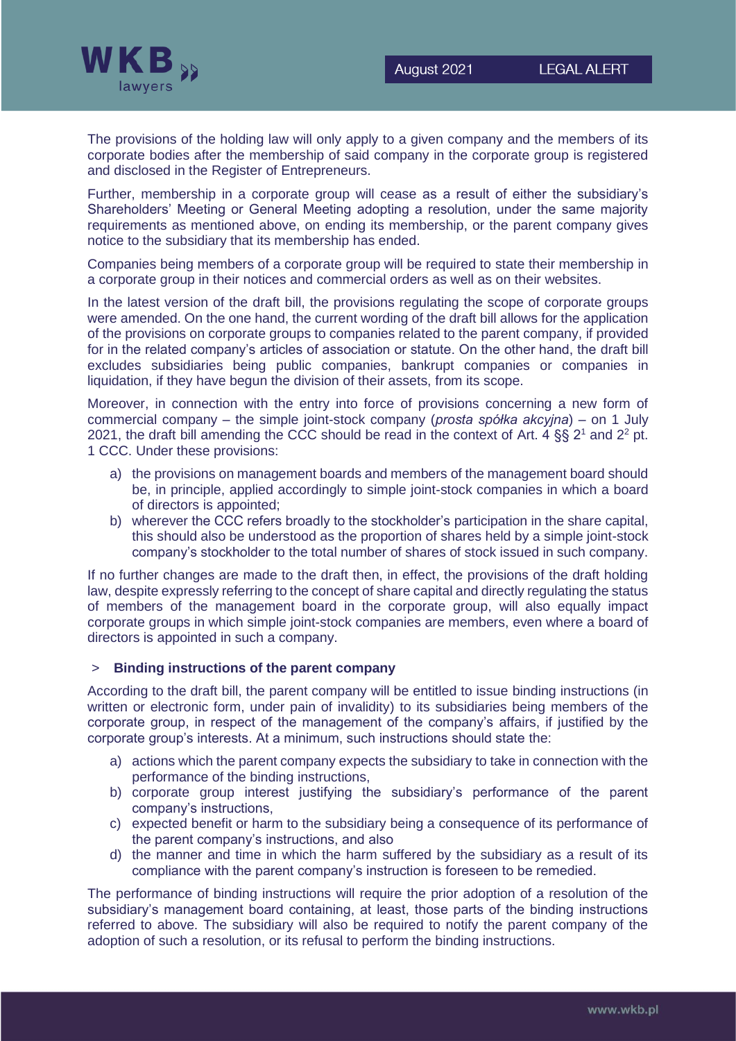

The provisions of the holding law will only apply to a given company and the members of its corporate bodies after the membership of said company in the corporate group is registered and disclosed in the Register of Entrepreneurs.

Further, membership in a corporate group will cease as a result of either the subsidiary's Shareholders' Meeting or General Meeting adopting a resolution, under the same majority requirements as mentioned above, on ending its membership, or the parent company gives notice to the subsidiary that its membership has ended.

Companies being members of a corporate group will be required to state their membership in a corporate group in their notices and commercial orders as well as on their websites.

In the latest version of the draft bill, the provisions regulating the scope of corporate groups were amended. On the one hand, the current wording of the draft bill allows for the application of the provisions on corporate groups to companies related to the parent company, if provided for in the related company's articles of association or statute. On the other hand, the draft bill excludes subsidiaries being public companies, bankrupt companies or companies in liquidation, if they have begun the division of their assets, from its scope.

Moreover, in connection with the entry into force of provisions concerning a new form of commercial company – the simple joint-stock company (*prosta spółka akcyjna*) – on 1 July 2021, the draft bill amending the CCC should be read in the context of Art. 4  $\S$ § 2<sup>1</sup> and 2<sup>2</sup> pt. 1 CCC. Under these provisions:

- a) the provisions on management boards and members of the management board should be, in principle, applied accordingly to simple joint-stock companies in which a board of directors is appointed;
- b) wherever the CCC refers broadly to the stockholder's participation in the share capital, this should also be understood as the proportion of shares held by a simple joint-stock company's stockholder to the total number of shares of stock issued in such company.

If no further changes are made to the draft then, in effect, the provisions of the draft holding law, despite expressly referring to the concept of share capital and directly regulating the status of members of the management board in the corporate group, will also equally impact corporate groups in which simple joint-stock companies are members, even where a board of directors is appointed in such a company.

## > **Binding instructions of the parent company**

According to the draft bill, the parent company will be entitled to issue binding instructions (in written or electronic form, under pain of invalidity) to its subsidiaries being members of the corporate group, in respect of the management of the company's affairs, if justified by the corporate group's interests. At a minimum, such instructions should state the:

- a) actions which the parent company expects the subsidiary to take in connection with the performance of the binding instructions,
- b) corporate group interest justifying the subsidiary's performance of the parent company's instructions,
- c) expected benefit or harm to the subsidiary being a consequence of its performance of the parent company's instructions, and also
- d) the manner and time in which the harm suffered by the subsidiary as a result of its compliance with the parent company's instruction is foreseen to be remedied.

The performance of binding instructions will require the prior adoption of a resolution of the subsidiary's management board containing, at least, those parts of the binding instructions referred to above. The subsidiary will also be required to notify the parent company of the adoption of such a resolution, or its refusal to perform the binding instructions.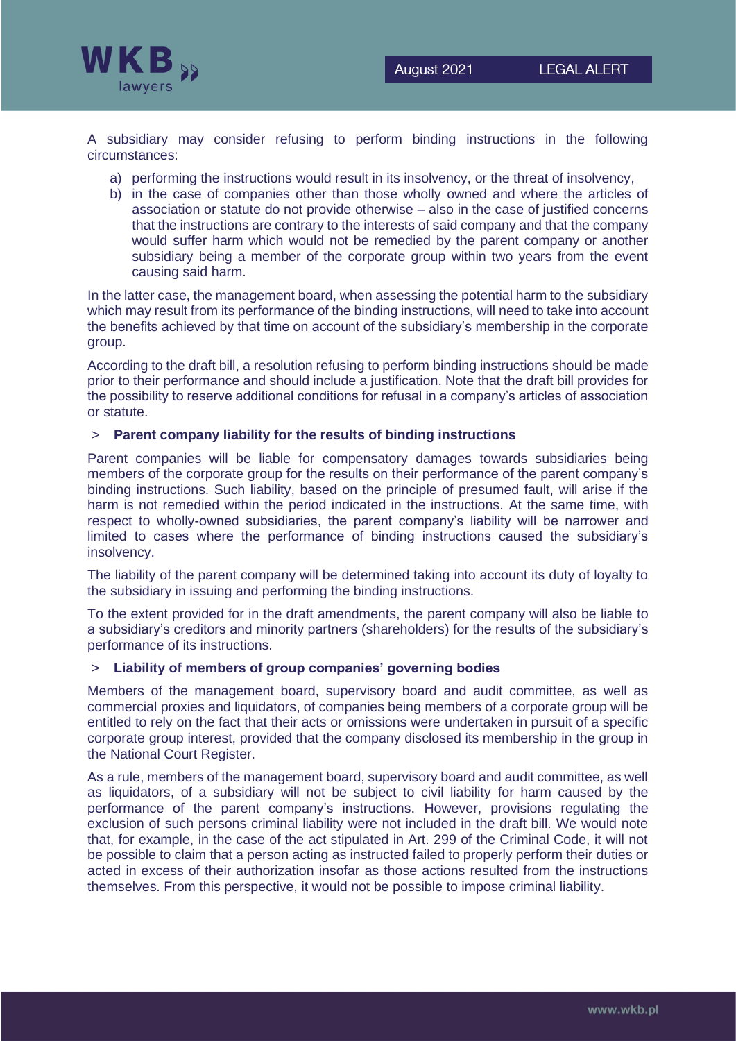

A subsidiary may consider refusing to perform binding instructions in the following circumstances:

- a) performing the instructions would result in its insolvency, or the threat of insolvency,
- b) in the case of companies other than those wholly owned and where the articles of association or statute do not provide otherwise – also in the case of justified concerns that the instructions are contrary to the interests of said company and that the company would suffer harm which would not be remedied by the parent company or another subsidiary being a member of the corporate group within two years from the event causing said harm.

In the latter case, the management board, when assessing the potential harm to the subsidiary which may result from its performance of the binding instructions, will need to take into account the benefits achieved by that time on account of the subsidiary's membership in the corporate group.

According to the draft bill, a resolution refusing to perform binding instructions should be made prior to their performance and should include a justification. Note that the draft bill provides for the possibility to reserve additional conditions for refusal in a company's articles of association or statute.

## > **Parent company liability for the results of binding instructions**

Parent companies will be liable for compensatory damages towards subsidiaries being members of the corporate group for the results on their performance of the parent company's binding instructions. Such liability, based on the principle of presumed fault, will arise if the harm is not remedied within the period indicated in the instructions. At the same time, with respect to wholly-owned subsidiaries, the parent company's liability will be narrower and limited to cases where the performance of binding instructions caused the subsidiary's insolvency.

The liability of the parent company will be determined taking into account its duty of loyalty to the subsidiary in issuing and performing the binding instructions.

To the extent provided for in the draft amendments, the parent company will also be liable to a subsidiary's creditors and minority partners (shareholders) for the results of the subsidiary's performance of its instructions.

### > **Liability of members of group companies' governing bodies**

Members of the management board, supervisory board and audit committee, as well as commercial proxies and liquidators, of companies being members of a corporate group will be entitled to rely on the fact that their acts or omissions were undertaken in pursuit of a specific corporate group interest, provided that the company disclosed its membership in the group in the National Court Register.

As a rule, members of the management board, supervisory board and audit committee, as well as liquidators, of a subsidiary will not be subject to civil liability for harm caused by the performance of the parent company's instructions. However, provisions regulating the exclusion of such persons criminal liability were not included in the draft bill. We would note that, for example, in the case of the act stipulated in Art. 299 of the Criminal Code, it will not be possible to claim that a person acting as instructed failed to properly perform their duties or acted in excess of their authorization insofar as those actions resulted from the instructions themselves. From this perspective, it would not be possible to impose criminal liability.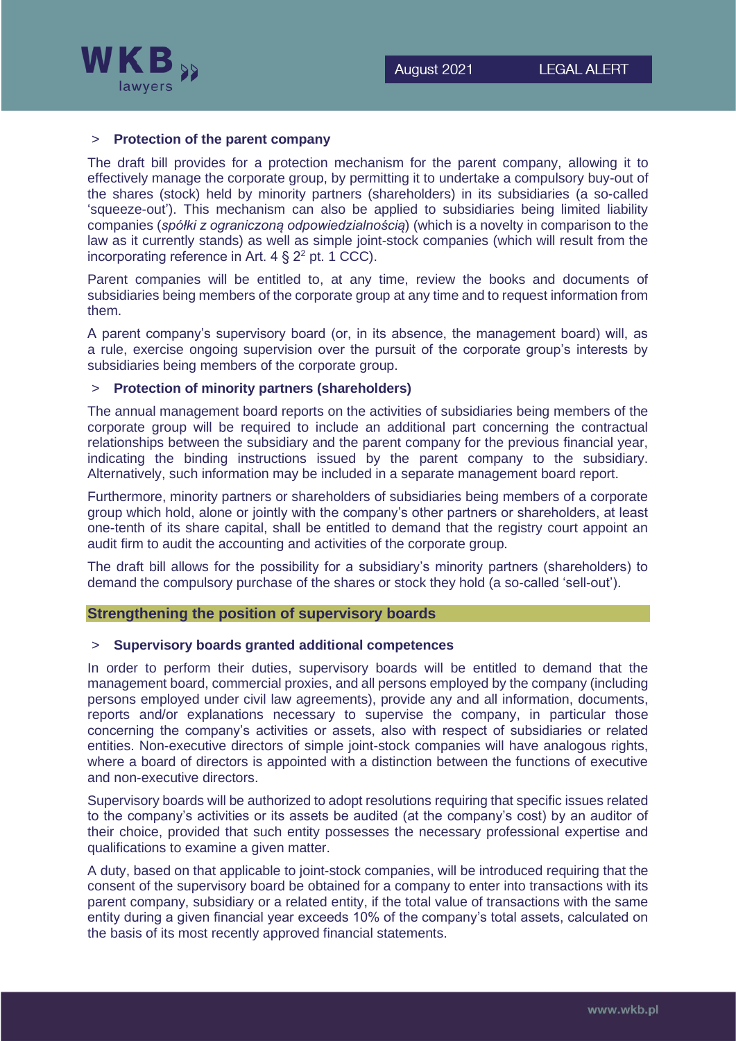

## > **Protection of the parent company**

The draft bill provides for a protection mechanism for the parent company, allowing it to effectively manage the corporate group, by permitting it to undertake a compulsory buy-out of the shares (stock) held by minority partners (shareholders) in its subsidiaries (a so-called 'squeeze-out'). This mechanism can also be applied to subsidiaries being limited liability companies (*spółki z ograniczoną odpowiedzialnością*) (which is a novelty in comparison to the law as it currently stands) as well as simple joint-stock companies (which will result from the incorporating reference in Art.  $4 \le 2^2$  pt. 1 CCC).

Parent companies will be entitled to, at any time, review the books and documents of subsidiaries being members of the corporate group at any time and to request information from them.

A parent company's supervisory board (or, in its absence, the management board) will, as a rule, exercise ongoing supervision over the pursuit of the corporate group's interests by subsidiaries being members of the corporate group.

## **Protection of minority partners (shareholders)**

The annual management board reports on the activities of subsidiaries being members of the corporate group will be required to include an additional part concerning the contractual relationships between the subsidiary and the parent company for the previous financial year, indicating the binding instructions issued by the parent company to the subsidiary. Alternatively, such information may be included in a separate management board report.

Furthermore, minority partners or shareholders of subsidiaries being members of a corporate group which hold, alone or jointly with the company's other partners or shareholders, at least one-tenth of its share capital, shall be entitled to demand that the registry court appoint an audit firm to audit the accounting and activities of the corporate group.

The draft bill allows for the possibility for a subsidiary's minority partners (shareholders) to demand the compulsory purchase of the shares or stock they hold (a so-called 'sell-out').

#### **Strengthening the position of supervisory boards**

## > **Supervisory boards granted additional competences**

In order to perform their duties, supervisory boards will be entitled to demand that the management board, commercial proxies, and all persons employed by the company (including persons employed under civil law agreements), provide any and all information, documents, reports and/or explanations necessary to supervise the company, in particular those concerning the company's activities or assets, also with respect of subsidiaries or related entities. Non-executive directors of simple joint-stock companies will have analogous rights, where a board of directors is appointed with a distinction between the functions of executive and non-executive directors.

Supervisory boards will be authorized to adopt resolutions requiring that specific issues related to the company's activities or its assets be audited (at the company's cost) by an auditor of their choice, provided that such entity possesses the necessary professional expertise and qualifications to examine a given matter.

A duty, based on that applicable to joint-stock companies, will be introduced requiring that the consent of the supervisory board be obtained for a company to enter into transactions with its parent company, subsidiary or a related entity, if the total value of transactions with the same entity during a given financial year exceeds 10% of the company's total assets, calculated on the basis of its most recently approved financial statements.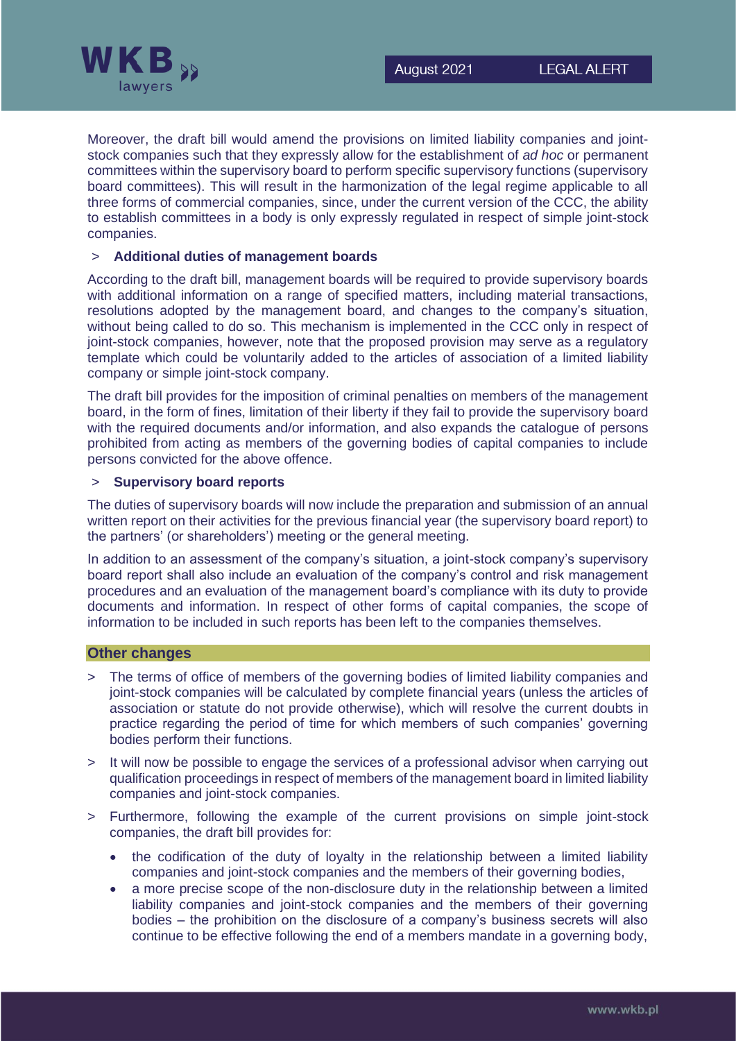

Moreover, the draft bill would amend the provisions on limited liability companies and jointstock companies such that they expressly allow for the establishment of *ad hoc* or permanent committees within the supervisory board to perform specific supervisory functions (supervisory board committees). This will result in the harmonization of the legal regime applicable to all three forms of commercial companies, since, under the current version of the CCC, the ability to establish committees in a body is only expressly regulated in respect of simple joint-stock companies.

## > **Additional duties of management boards**

According to the draft bill, management boards will be required to provide supervisory boards with additional information on a range of specified matters, including material transactions, resolutions adopted by the management board, and changes to the company's situation, without being called to do so. This mechanism is implemented in the CCC only in respect of joint-stock companies, however, note that the proposed provision may serve as a regulatory template which could be voluntarily added to the articles of association of a limited liability company or simple joint-stock company.

The draft bill provides for the imposition of criminal penalties on members of the management board, in the form of fines, limitation of their liberty if they fail to provide the supervisory board with the required documents and/or information, and also expands the catalogue of persons prohibited from acting as members of the governing bodies of capital companies to include persons convicted for the above offence.

## > **Supervisory board reports**

The duties of supervisory boards will now include the preparation and submission of an annual written report on their activities for the previous financial year (the supervisory board report) to the partners' (or shareholders') meeting or the general meeting.

In addition to an assessment of the company's situation, a joint-stock company's supervisory board report shall also include an evaluation of the company's control and risk management procedures and an evaluation of the management board's compliance with its duty to provide documents and information. In respect of other forms of capital companies, the scope of information to be included in such reports has been left to the companies themselves.

#### **Other changes**

- The terms of office of members of the governing bodies of limited liability companies and joint-stock companies will be calculated by complete financial years (unless the articles of association or statute do not provide otherwise), which will resolve the current doubts in practice regarding the period of time for which members of such companies' governing bodies perform their functions.
- > It will now be possible to engage the services of a professional advisor when carrying out qualification proceedings in respect of members of the management board in limited liability companies and joint-stock companies.
- > Furthermore, following the example of the current provisions on simple joint-stock companies, the draft bill provides for:
	- the codification of the duty of loyalty in the relationship between a limited liability companies and joint-stock companies and the members of their governing bodies,
	- a more precise scope of the non-disclosure duty in the relationship between a limited liability companies and joint-stock companies and the members of their governing bodies – the prohibition on the disclosure of a company's business secrets will also continue to be effective following the end of a members mandate in a governing body,